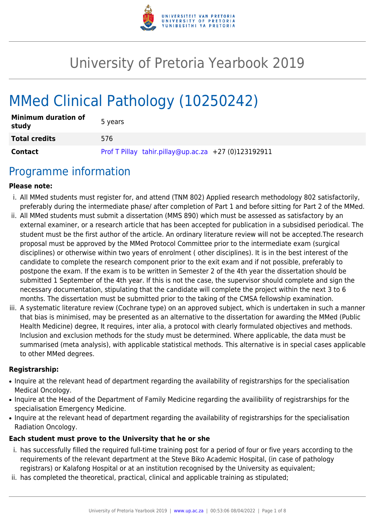

# University of Pretoria Yearbook 2019

# MMed Clinical Pathology (10250242)

| <b>Minimum duration of</b><br>study | 5 years                                              |
|-------------------------------------|------------------------------------------------------|
| <b>Total credits</b>                | 576                                                  |
| <b>Contact</b>                      | Prof T Pillay tahir.pillay@up.ac.za +27 (0)123192911 |

## Programme information

#### **Please note:**

- i. All MMed students must register for, and attend (TNM 802) Applied research methodology 802 satisfactorily, preferably during the intermediate phase/ after completion of Part 1 and before sitting for Part 2 of the MMed.
- ii. All MMed students must submit a dissertation (MMS 890) which must be assessed as satisfactory by an external examiner, or a research article that has been accepted for publication in a subsidised periodical. The student must be the first author of the article. An ordinary literature review will not be accepted.The research proposal must be approved by the MMed Protocol Committee prior to the intermediate exam (surgical disciplines) or otherwise within two years of enrolment ( other disciplines). It is in the best interest of the candidate to complete the research component prior to the exit exam and if not possible, preferably to postpone the exam. If the exam is to be written in Semester 2 of the 4th year the dissertation should be submitted 1 September of the 4th year. If this is not the case, the supervisor should complete and sign the necessary documentation, stipulating that the candidate will complete the project within the next 3 to 6 months. The dissertation must be submitted prior to the taking of the CMSA fellowship examination.
- iii. A systematic literature review (Cochrane type) on an approved subject, which is undertaken in such a manner that bias is minimised, may be presented as an alternative to the dissertation for awarding the MMed (Public Health Medicine) degree, It requires, inter alia, a protocol with clearly formulated objectives and methods. Inclusion and exclusion methods for the study must be determined. Where applicable, the data must be summarised (meta analysis), with applicable statistical methods. This alternative is in special cases applicable to other MMed degrees.

#### **Registrarship:**

- Inquire at the relevant head of department regarding the availability of registrarships for the specialisation Medical Oncology.
- Inquire at the Head of the Department of Family Medicine regarding the availibility of registrarships for the specialisation Emergency Medicine.
- Inquire at the relevant head of department regarding the availability of registrarships for the specialisation Radiation Oncology.

#### **Each student must prove to the University that he or she**

- i. has successfully filled the required full-time training post for a period of four or five years according to the requirements of the relevant department at the Steve Biko Academic Hospital, (in case of pathology registrars) or Kalafong Hospital or at an institution recognised by the University as equivalent;
- ii. has completed the theoretical, practical, clinical and applicable training as stipulated;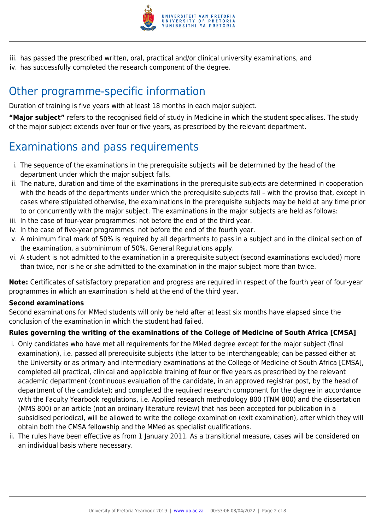

iii. has passed the prescribed written, oral, practical and/or clinical university examinations, and iv. has successfully completed the research component of the degree.

## Other programme-specific information

Duration of training is five years with at least 18 months in each major subject.

**"Major subject"** refers to the recognised field of study in Medicine in which the student specialises. The study of the major subject extends over four or five years, as prescribed by the relevant department.

# Examinations and pass requirements

- i. The sequence of the examinations in the prerequisite subjects will be determined by the head of the department under which the major subject falls.
- ii. The nature, duration and time of the examinations in the prerequisite subjects are determined in cooperation with the heads of the departments under which the prerequisite subjects fall – with the proviso that, except in cases where stipulated otherwise, the examinations in the prerequisite subjects may be held at any time prior to or concurrently with the major subject. The examinations in the major subjects are held as follows:
- iii. In the case of four-year programmes: not before the end of the third year.
- iv. In the case of five-year programmes: not before the end of the fourth year.
- v. A minimum final mark of 50% is required by all departments to pass in a subject and in the clinical section of the examination, a subminimum of 50%. General Regulations apply.
- vi. A student is not admitted to the examination in a prerequisite subject (second examinations excluded) more than twice, nor is he or she admitted to the examination in the major subject more than twice.

**Note:** Certificates of satisfactory preparation and progress are required in respect of the fourth year of four-year programmes in which an examination is held at the end of the third year.

#### **Second examinations**

Second examinations for MMed students will only be held after at least six months have elapsed since the conclusion of the examination in which the student had failed.

#### **Rules governing the writing of the examinations of the College of Medicine of South Africa [CMSA]**

- i. Only candidates who have met all requirements for the MMed degree except for the major subject (final examination), i.e. passed all prerequisite subjects (the latter to be interchangeable; can be passed either at the University or as primary and intermediary examinations at the College of Medicine of South Africa [CMSA], completed all practical, clinical and applicable training of four or five years as prescribed by the relevant academic department (continuous evaluation of the candidate, in an approved registrar post, by the head of department of the candidate); and completed the required research component for the degree in accordance with the Faculty Yearbook regulations, i.e. Applied research methodology 800 (TNM 800) and the dissertation (MMS 800) or an article (not an ordinary literature review) that has been accepted for publication in a subsidised periodical, will be allowed to write the college examination (exit examination), after which they will obtain both the CMSA fellowship and the MMed as specialist qualifications.
- ii. The rules have been effective as from 1 January 2011. As a transitional measure, cases will be considered on an individual basis where necessary.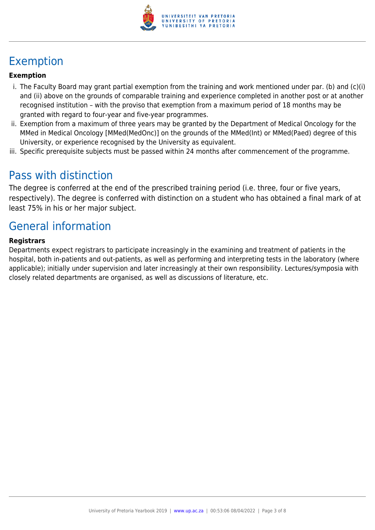

# Exemption

#### **Exemption**

- i. The Faculty Board may grant partial exemption from the training and work mentioned under par. (b) and (c)(i) and (ii) above on the grounds of comparable training and experience completed in another post or at another recognised institution – with the proviso that exemption from a maximum period of 18 months may be granted with regard to four-year and five-year programmes.
- ii. Exemption from a maximum of three years may be granted by the Department of Medical Oncology for the MMed in Medical Oncology [MMed(MedOnc)] on the grounds of the MMed(Int) or MMed(Paed) degree of this University, or experience recognised by the University as equivalent.
- iii. Specific prerequisite subjects must be passed within 24 months after commencement of the programme.

### Pass with distinction

The degree is conferred at the end of the prescribed training period (i.e. three, four or five years, respectively). The degree is conferred with distinction on a student who has obtained a final mark of at least 75% in his or her major subject.

## General information

#### **Registrars**

Departments expect registrars to participate increasingly in the examining and treatment of patients in the hospital, both in-patients and out-patients, as well as performing and interpreting tests in the laboratory (where applicable); initially under supervision and later increasingly at their own responsibility. Lectures/symposia with closely related departments are organised, as well as discussions of literature, etc.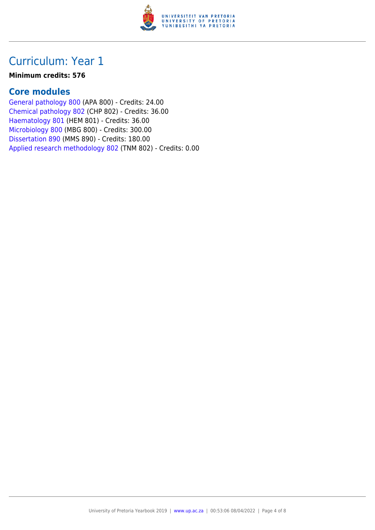

#### **Minimum credits: 576**

### **Core modules**

[General pathology 800](https://www.up.ac.za/faculty-of-education/yearbooks/2019/modules/view/APA 800) (APA 800) - Credits: 24.00 [Chemical pathology 802](https://www.up.ac.za/faculty-of-education/yearbooks/2019/modules/view/CHP 802) (CHP 802) - Credits: 36.00 [Haematology 801](https://www.up.ac.za/faculty-of-education/yearbooks/2019/modules/view/HEM 801) (HEM 801) - Credits: 36.00 [Microbiology 800](https://www.up.ac.za/faculty-of-education/yearbooks/2019/modules/view/MBG 800) (MBG 800) - Credits: 300.00 [Dissertation 890](https://www.up.ac.za/faculty-of-education/yearbooks/2019/modules/view/MMS 890) (MMS 890) - Credits: 180.00 [Applied research methodology 802](https://www.up.ac.za/faculty-of-education/yearbooks/2019/modules/view/TNM 802) (TNM 802) - Credits: 0.00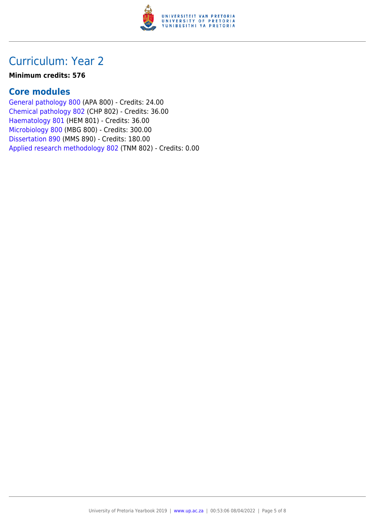

#### **Minimum credits: 576**

### **Core modules**

[General pathology 800](https://www.up.ac.za/faculty-of-education/yearbooks/2019/modules/view/APA 800) (APA 800) - Credits: 24.00 [Chemical pathology 802](https://www.up.ac.za/faculty-of-education/yearbooks/2019/modules/view/CHP 802) (CHP 802) - Credits: 36.00 [Haematology 801](https://www.up.ac.za/faculty-of-education/yearbooks/2019/modules/view/HEM 801) (HEM 801) - Credits: 36.00 [Microbiology 800](https://www.up.ac.za/faculty-of-education/yearbooks/2019/modules/view/MBG 800) (MBG 800) - Credits: 300.00 [Dissertation 890](https://www.up.ac.za/faculty-of-education/yearbooks/2019/modules/view/MMS 890) (MMS 890) - Credits: 180.00 [Applied research methodology 802](https://www.up.ac.za/faculty-of-education/yearbooks/2019/modules/view/TNM 802) (TNM 802) - Credits: 0.00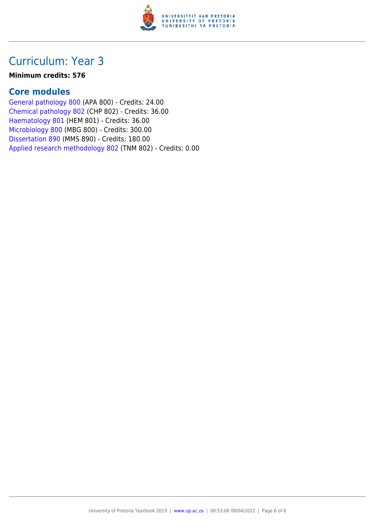

#### **Minimum credits: 576**

### **Core modules**

[General pathology 800](https://www.up.ac.za/faculty-of-education/yearbooks/2019/modules/view/APA 800) (APA 800) - Credits: 24.00 [Chemical pathology 802](https://www.up.ac.za/faculty-of-education/yearbooks/2019/modules/view/CHP 802) (CHP 802) - Credits: 36.00 [Haematology 801](https://www.up.ac.za/faculty-of-education/yearbooks/2019/modules/view/HEM 801) (HEM 801) - Credits: 36.00 [Microbiology 800](https://www.up.ac.za/faculty-of-education/yearbooks/2019/modules/view/MBG 800) (MBG 800) - Credits: 300.00 [Dissertation 890](https://www.up.ac.za/faculty-of-education/yearbooks/2019/modules/view/MMS 890) (MMS 890) - Credits: 180.00 [Applied research methodology 802](https://www.up.ac.za/faculty-of-education/yearbooks/2019/modules/view/TNM 802) (TNM 802) - Credits: 0.00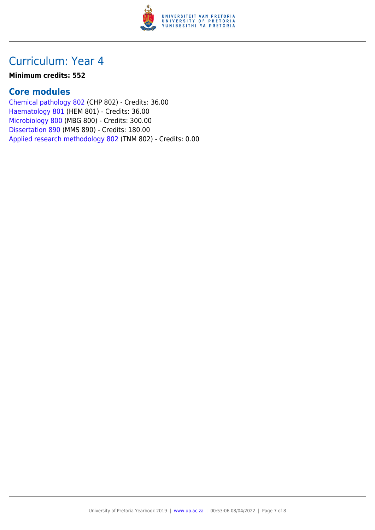

#### **Minimum credits: 552**

### **Core modules**

[Chemical pathology 802](https://www.up.ac.za/faculty-of-education/yearbooks/2019/modules/view/CHP 802) (CHP 802) - Credits: 36.00 [Haematology 801](https://www.up.ac.za/faculty-of-education/yearbooks/2019/modules/view/HEM 801) (HEM 801) - Credits: 36.00 [Microbiology 800](https://www.up.ac.za/faculty-of-education/yearbooks/2019/modules/view/MBG 800) (MBG 800) - Credits: 300.00 [Dissertation 890](https://www.up.ac.za/faculty-of-education/yearbooks/2019/modules/view/MMS 890) (MMS 890) - Credits: 180.00 [Applied research methodology 802](https://www.up.ac.za/faculty-of-education/yearbooks/2019/modules/view/TNM 802) (TNM 802) - Credits: 0.00